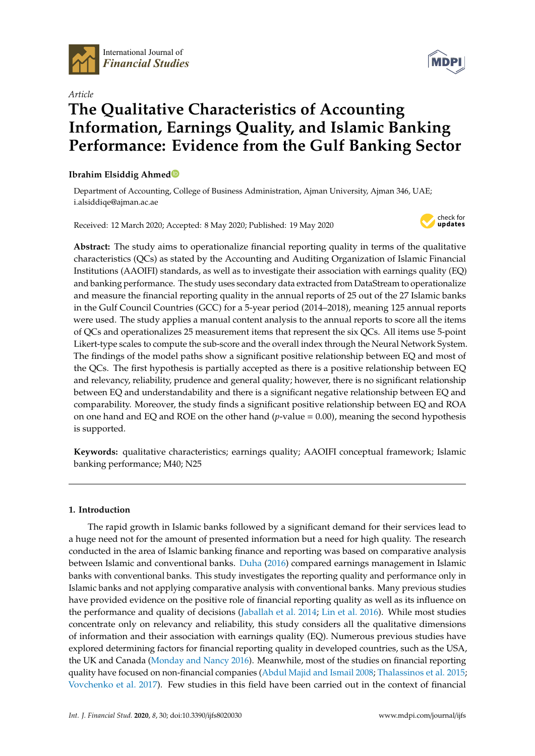

International Journal of *Financial Studies*



# *Article* **The Qualitative Characteristics of Accounting Information, Earnings Quality, and Islamic Banking Performance: Evidence from the Gulf Banking Sector**

# **Ibrahim Elsiddig Ahmed**

Department of Accounting, College of Business Administration, Ajman University, Ajman 346, UAE; i.alsiddiqe@ajman.ac.ae

Received: 12 March 2020; Accepted: 8 May 2020; Published: 19 May 2020



**Abstract:** The study aims to operationalize financial reporting quality in terms of the qualitative characteristics (QCs) as stated by the Accounting and Auditing Organization of Islamic Financial Institutions (AAOIFI) standards, as well as to investigate their association with earnings quality (EQ) and banking performance. The study uses secondary data extracted from DataStream to operationalize and measure the financial reporting quality in the annual reports of 25 out of the 27 Islamic banks in the Gulf Council Countries (GCC) for a 5-year period (2014–2018), meaning 125 annual reports were used. The study applies a manual content analysis to the annual reports to score all the items of QCs and operationalizes 25 measurement items that represent the six QCs. All items use 5-point Likert-type scales to compute the sub-score and the overall index through the Neural Network System. The findings of the model paths show a significant positive relationship between EQ and most of the QCs. The first hypothesis is partially accepted as there is a positive relationship between EQ and relevancy, reliability, prudence and general quality; however, there is no significant relationship between EQ and understandability and there is a significant negative relationship between EQ and comparability. Moreover, the study finds a significant positive relationship between EQ and ROA on one hand and EQ and ROE on the other hand (*p*-value = 0.00), meaning the second hypothesis is supported.

**Keywords:** qualitative characteristics; earnings quality; AAOIFI conceptual framework; Islamic banking performance; M40; N25

# **1. Introduction**

The rapid growth in Islamic banks followed by a significant demand for their services lead to a huge need not for the amount of presented information but a need for high quality. The research conducted in the area of Islamic banking finance and reporting was based on comparative analysis between Islamic and conventional banks. Duha (2016) compared earnings management in Islamic banks with conventional banks. This study investigates the reporting quality and performance only in Islamic banks and not applying comparative analysis with conventional banks. Many previous studies have provided evidence on the positive role of financial reporting quality as well as its influence on the performance and quality of decisions (Jaballah et al. 2014; Lin et al. 2016). While most studies concentrate only on relevancy and reliability, this study considers all the qualitative dimensions of information and their association with earnings quality (EQ). Numerous previous studies have explored determining factors for financial reporting quality in developed countries, such as the USA, the UK and Canada (Monday and Nancy 2016). Meanwhile, most of the studies on financial reporting quality have focused on non-financial companies (Abdul Majid and Ismail 2008; Thalassinos et al. 2015; Vovchenko et al. 2017). Few studies in this field have been carried out in the context of financial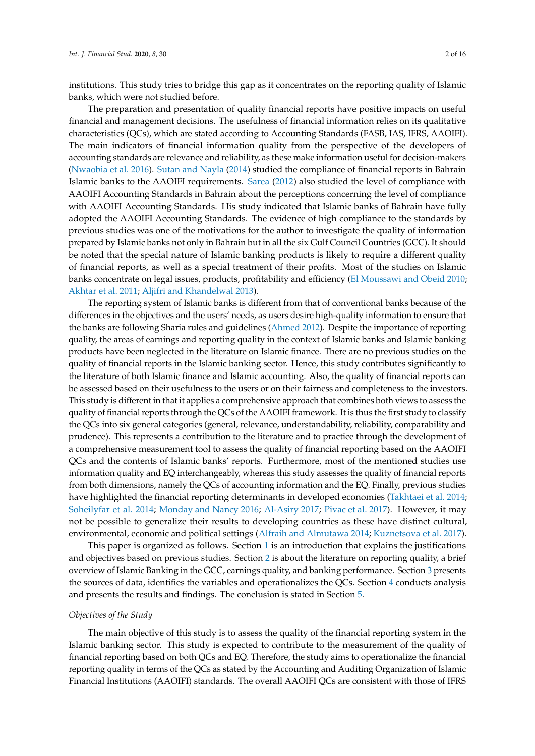institutions. This study tries to bridge this gap as it concentrates on the reporting quality of Islamic banks, which were not studied before.

The preparation and presentation of quality financial reports have positive impacts on useful financial and management decisions. The usefulness of financial information relies on its qualitative characteristics (QCs), which are stated according to Accounting Standards (FASB, IAS, IFRS, AAOIFI). The main indicators of financial information quality from the perspective of the developers of accounting standards are relevance and reliability, as these make information useful for decision-makers (Nwaobia et al. 2016). Sutan and Nayla (2014) studied the compliance of financial reports in Bahrain Islamic banks to the AAOIFI requirements. Sarea (2012) also studied the level of compliance with AAOIFI Accounting Standards in Bahrain about the perceptions concerning the level of compliance with AAOIFI Accounting Standards. His study indicated that Islamic banks of Bahrain have fully adopted the AAOIFI Accounting Standards. The evidence of high compliance to the standards by previous studies was one of the motivations for the author to investigate the quality of information prepared by Islamic banks not only in Bahrain but in all the six Gulf Council Countries (GCC). It should be noted that the special nature of Islamic banking products is likely to require a different quality of financial reports, as well as a special treatment of their profits. Most of the studies on Islamic banks concentrate on legal issues, products, profitability and efficiency (El Moussawi and Obeid 2010; Akhtar et al. 2011; Aljifri and Khandelwal 2013).

The reporting system of Islamic banks is different from that of conventional banks because of the differences in the objectives and the users' needs, as users desire high-quality information to ensure that the banks are following Sharia rules and guidelines (Ahmed 2012). Despite the importance of reporting quality, the areas of earnings and reporting quality in the context of Islamic banks and Islamic banking products have been neglected in the literature on Islamic finance. There are no previous studies on the quality of financial reports in the Islamic banking sector. Hence, this study contributes significantly to the literature of both Islamic finance and Islamic accounting. Also, the quality of financial reports can be assessed based on their usefulness to the users or on their fairness and completeness to the investors. This study is different in that it applies a comprehensive approach that combines both views to assess the quality of financial reports through the QCs of the AAOIFI framework. It is thus the first study to classify the QCs into six general categories (general, relevance, understandability, reliability, comparability and prudence). This represents a contribution to the literature and to practice through the development of a comprehensive measurement tool to assess the quality of financial reporting based on the AAOIFI QCs and the contents of Islamic banks' reports. Furthermore, most of the mentioned studies use information quality and EQ interchangeably, whereas this study assesses the quality of financial reports from both dimensions, namely the QCs of accounting information and the EQ. Finally, previous studies have highlighted the financial reporting determinants in developed economies (Takhtaei et al. 2014; Soheilyfar et al. 2014; Monday and Nancy 2016; Al-Asiry 2017; Pivac et al. 2017). However, it may not be possible to generalize their results to developing countries as these have distinct cultural, environmental, economic and political settings (Alfraih and Almutawa 2014; Kuznetsova et al. 2017).

This paper is organized as follows. Section 1 is an introduction that explains the justifications and objectives based on previous studies. Section 2 is about the literature on reporting quality, a brief overview of Islamic Banking in the GCC, earnings quality, and banking performance. Section 3 presents the sources of data, identifies the variables and operationalizes the QCs. Section 4 conducts analysis and presents the results and findings. The conclusion is stated in Section 5.

## *Objectives of the Study*

The main objective of this study is to assess the quality of the financial reporting system in the Islamic banking sector. This study is expected to contribute to the measurement of the quality of financial reporting based on both QCs and EQ. Therefore, the study aims to operationalize the financial reporting quality in terms of the QCs as stated by the Accounting and Auditing Organization of Islamic Financial Institutions (AAOIFI) standards. The overall AAOIFI QCs are consistent with those of IFRS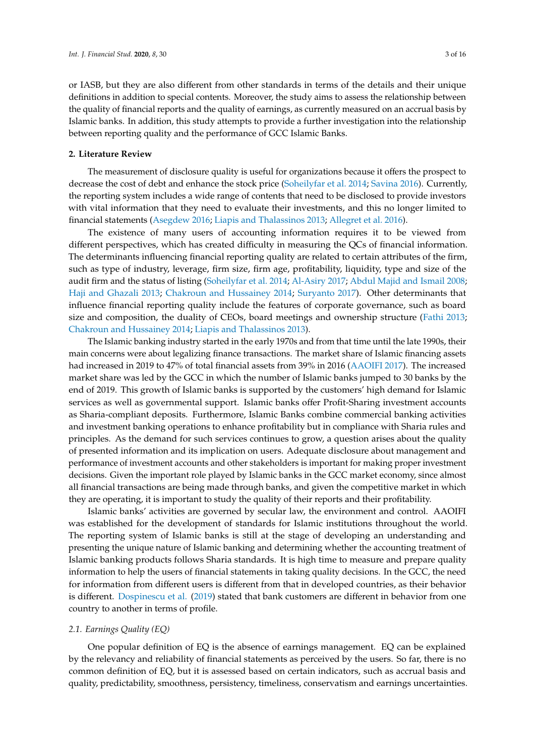or IASB, but they are also different from other standards in terms of the details and their unique definitions in addition to special contents. Moreover, the study aims to assess the relationship between the quality of financial reports and the quality of earnings, as currently measured on an accrual basis by Islamic banks. In addition, this study attempts to provide a further investigation into the relationship between reporting quality and the performance of GCC Islamic Banks.

## **2. Literature Review**

The measurement of disclosure quality is useful for organizations because it offers the prospect to decrease the cost of debt and enhance the stock price (Soheilyfar et al. 2014; Savina 2016). Currently, the reporting system includes a wide range of contents that need to be disclosed to provide investors with vital information that they need to evaluate their investments, and this no longer limited to financial statements (Asegdew 2016; Liapis and Thalassinos 2013; Allegret et al. 2016).

The existence of many users of accounting information requires it to be viewed from different perspectives, which has created difficulty in measuring the QCs of financial information. The determinants influencing financial reporting quality are related to certain attributes of the firm, such as type of industry, leverage, firm size, firm age, profitability, liquidity, type and size of the audit firm and the status of listing (Soheilyfar et al. 2014; Al-Asiry 2017; Abdul Majid and Ismail 2008; Haji and Ghazali 2013; Chakroun and Hussainey 2014; Suryanto 2017). Other determinants that influence financial reporting quality include the features of corporate governance, such as board size and composition, the duality of CEOs, board meetings and ownership structure (Fathi 2013; Chakroun and Hussainey 2014; Liapis and Thalassinos 2013).

The Islamic banking industry started in the early 1970s and from that time until the late 1990s, their main concerns were about legalizing finance transactions. The market share of Islamic financing assets had increased in 2019 to 47% of total financial assets from 39% in 2016 (AAOIFI 2017). The increased market share was led by the GCC in which the number of Islamic banks jumped to 30 banks by the end of 2019. This growth of Islamic banks is supported by the customers' high demand for Islamic services as well as governmental support. Islamic banks offer Profit-Sharing investment accounts as Sharia-compliant deposits. Furthermore, Islamic Banks combine commercial banking activities and investment banking operations to enhance profitability but in compliance with Sharia rules and principles. As the demand for such services continues to grow, a question arises about the quality of presented information and its implication on users. Adequate disclosure about management and performance of investment accounts and other stakeholders is important for making proper investment decisions. Given the important role played by Islamic banks in the GCC market economy, since almost all financial transactions are being made through banks, and given the competitive market in which they are operating, it is important to study the quality of their reports and their profitability.

Islamic banks' activities are governed by secular law, the environment and control. AAOIFI was established for the development of standards for Islamic institutions throughout the world. The reporting system of Islamic banks is still at the stage of developing an understanding and presenting the unique nature of Islamic banking and determining whether the accounting treatment of Islamic banking products follows Sharia standards. It is high time to measure and prepare quality information to help the users of financial statements in taking quality decisions. In the GCC, the need for information from different users is different from that in developed countries, as their behavior is different. Dospinescu et al. (2019) stated that bank customers are different in behavior from one country to another in terms of profile.

#### *2.1. Earnings Quality (EQ)*

One popular definition of EQ is the absence of earnings management. EQ can be explained by the relevancy and reliability of financial statements as perceived by the users. So far, there is no common definition of EQ, but it is assessed based on certain indicators, such as accrual basis and quality, predictability, smoothness, persistency, timeliness, conservatism and earnings uncertainties.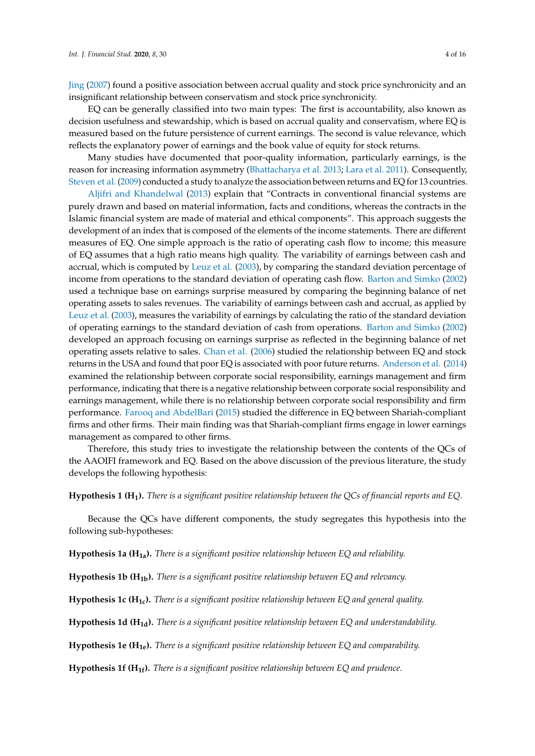Jing (2007) found a positive association between accrual quality and stock price synchronicity and an insignificant relationship between conservatism and stock price synchronicity.

EQ can be generally classified into two main types: The first is accountability, also known as decision usefulness and stewardship, which is based on accrual quality and conservatism, where EQ is measured based on the future persistence of current earnings. The second is value relevance, which reflects the explanatory power of earnings and the book value of equity for stock returns.

Many studies have documented that poor-quality information, particularly earnings, is the reason for increasing information asymmetry (Bhattacharya et al. 2013; Lara et al. 2011). Consequently, Steven et al. (2009) conducted a study to analyze the association between returns and EQ for 13 countries.

Aljifri and Khandelwal (2013) explain that "Contracts in conventional financial systems are purely drawn and based on material information, facts and conditions, whereas the contracts in the Islamic financial system are made of material and ethical components". This approach suggests the development of an index that is composed of the elements of the income statements. There are different measures of EQ. One simple approach is the ratio of operating cash flow to income; this measure of EQ assumes that a high ratio means high quality. The variability of earnings between cash and accrual, which is computed by Leuz et al. (2003), by comparing the standard deviation percentage of income from operations to the standard deviation of operating cash flow. Barton and Simko (2002) used a technique base on earnings surprise measured by comparing the beginning balance of net operating assets to sales revenues. The variability of earnings between cash and accrual, as applied by Leuz et al. (2003), measures the variability of earnings by calculating the ratio of the standard deviation of operating earnings to the standard deviation of cash from operations. Barton and Simko (2002) developed an approach focusing on earnings surprise as reflected in the beginning balance of net operating assets relative to sales. Chan et al. (2006) studied the relationship between EQ and stock returns in the USA and found that poor EQ is associated with poor future returns. Anderson et al. (2014) examined the relationship between corporate social responsibility, earnings management and firm performance, indicating that there is a negative relationship between corporate social responsibility and earnings management, while there is no relationship between corporate social responsibility and firm performance. Farooq and AbdelBari (2015) studied the difference in EQ between Shariah-compliant firms and other firms. Their main finding was that Shariah-compliant firms engage in lower earnings management as compared to other firms.

Therefore, this study tries to investigate the relationship between the contents of the QCs of the AAOIFI framework and EQ. Based on the above discussion of the previous literature, the study develops the following hypothesis:

**Hypothesis 1 (H1).** *There is a significant positive relationship between the QCs of financial reports and EQ.*

Because the QCs have different components, the study segregates this hypothesis into the following sub-hypotheses:

**Hypothesis 1a (H1a).** *There is a significant positive relationship between EQ and reliability.*

**Hypothesis 1b (H1b).** *There is a significant positive relationship between EQ and relevancy.*

**Hypothesis 1c (H1c).** *There is a significant positive relationship between EQ and general quality.*

**Hypothesis 1d (H1d).** *There is a significant positive relationship between EQ and understandability.*

**Hypothesis 1e (H1e).** *There is a significant positive relationship between EQ and comparability.*

**Hypothesis 1f (H1f).** *There is a significant positive relationship between EQ and prudence.*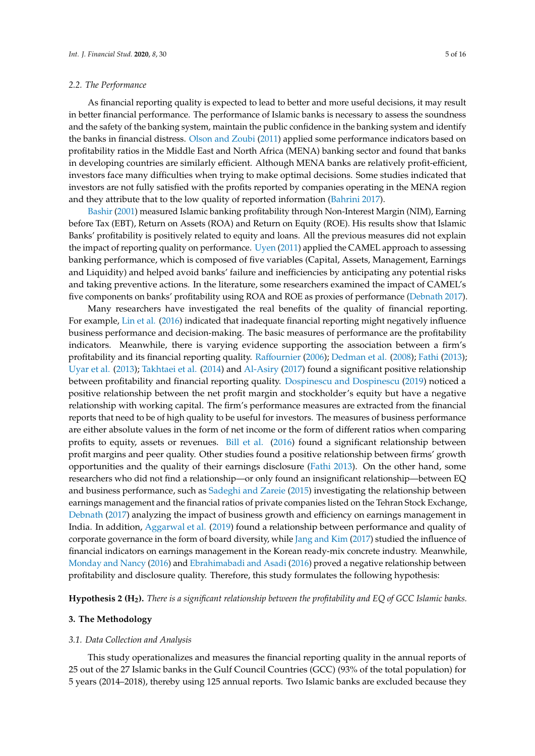#### *2.2. The Performance*

As financial reporting quality is expected to lead to better and more useful decisions, it may result in better financial performance. The performance of Islamic banks is necessary to assess the soundness and the safety of the banking system, maintain the public confidence in the banking system and identify the banks in financial distress. Olson and Zoubi (2011) applied some performance indicators based on profitability ratios in the Middle East and North Africa (MENA) banking sector and found that banks in developing countries are similarly efficient. Although MENA banks are relatively profit-efficient, investors face many difficulties when trying to make optimal decisions. Some studies indicated that investors are not fully satisfied with the profits reported by companies operating in the MENA region and they attribute that to the low quality of reported information (Bahrini 2017).

Bashir (2001) measured Islamic banking profitability through Non-Interest Margin (NIM), Earning before Tax (EBT), Return on Assets (ROA) and Return on Equity (ROE). His results show that Islamic Banks' profitability is positively related to equity and loans. All the previous measures did not explain the impact of reporting quality on performance. Uyen (2011) applied the CAMEL approach to assessing banking performance, which is composed of five variables (Capital, Assets, Management, Earnings and Liquidity) and helped avoid banks' failure and inefficiencies by anticipating any potential risks and taking preventive actions. In the literature, some researchers examined the impact of CAMEL's five components on banks' profitability using ROA and ROE as proxies of performance (Debnath 2017).

Many researchers have investigated the real benefits of the quality of financial reporting. For example, Lin et al. (2016) indicated that inadequate financial reporting might negatively influence business performance and decision-making. The basic measures of performance are the profitability indicators. Meanwhile, there is varying evidence supporting the association between a firm's profitability and its financial reporting quality. Raffournier (2006); Dedman et al. (2008); Fathi (2013); Uyar et al. (2013); Takhtaei et al. (2014) and Al-Asiry (2017) found a significant positive relationship between profitability and financial reporting quality. Dospinescu and Dospinescu (2019) noticed a positive relationship between the net profit margin and stockholder's equity but have a negative relationship with working capital. The firm's performance measures are extracted from the financial reports that need to be of high quality to be useful for investors. The measures of business performance are either absolute values in the form of net income or the form of different ratios when comparing profits to equity, assets or revenues. Bill et al. (2016) found a significant relationship between profit margins and peer quality. Other studies found a positive relationship between firms' growth opportunities and the quality of their earnings disclosure (Fathi 2013). On the other hand, some researchers who did not find a relationship—or only found an insignificant relationship—between EQ and business performance, such as Sadeghi and Zareie (2015) investigating the relationship between earnings management and the financial ratios of private companies listed on the Tehran Stock Exchange, Debnath (2017) analyzing the impact of business growth and efficiency on earnings management in India. In addition, Aggarwal et al. (2019) found a relationship between performance and quality of corporate governance in the form of board diversity, while Jang and Kim (2017) studied the influence of financial indicators on earnings management in the Korean ready-mix concrete industry. Meanwhile, Monday and Nancy (2016) and Ebrahimabadi and Asadi (2016) proved a negative relationship between profitability and disclosure quality. Therefore, this study formulates the following hypothesis:

**Hypothesis 2 (H2).** *There is a significant relationship between the profitability and EQ of GCC Islamic banks.*

#### **3. The Methodology**

#### *3.1. Data Collection and Analysis*

This study operationalizes and measures the financial reporting quality in the annual reports of 25 out of the 27 Islamic banks in the Gulf Council Countries (GCC) (93% of the total population) for 5 years (2014–2018), thereby using 125 annual reports. Two Islamic banks are excluded because they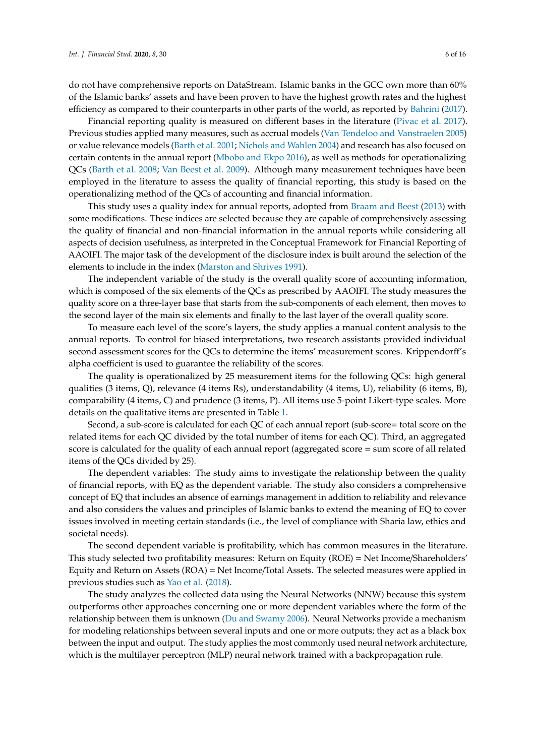do not have comprehensive reports on DataStream. Islamic banks in the GCC own more than 60% of the Islamic banks' assets and have been proven to have the highest growth rates and the highest efficiency as compared to their counterparts in other parts of the world, as reported by Bahrini (2017).

Financial reporting quality is measured on different bases in the literature (Pivac et al. 2017). Previous studies applied many measures, such as accrual models (Van Tendeloo and Vanstraelen 2005) or value relevance models (Barth et al. 2001; Nichols and Wahlen 2004) and research has also focused on certain contents in the annual report (Mbobo and Ekpo 2016), as well as methods for operationalizing QCs (Barth et al. 2008; Van Beest et al. 2009). Although many measurement techniques have been employed in the literature to assess the quality of financial reporting, this study is based on the operationalizing method of the QCs of accounting and financial information.

This study uses a quality index for annual reports, adopted from Braam and Beest (2013) with some modifications. These indices are selected because they are capable of comprehensively assessing the quality of financial and non-financial information in the annual reports while considering all aspects of decision usefulness, as interpreted in the Conceptual Framework for Financial Reporting of AAOIFI. The major task of the development of the disclosure index is built around the selection of the elements to include in the index (Marston and Shrives 1991).

The independent variable of the study is the overall quality score of accounting information, which is composed of the six elements of the QCs as prescribed by AAOIFI. The study measures the quality score on a three-layer base that starts from the sub-components of each element, then moves to the second layer of the main six elements and finally to the last layer of the overall quality score.

To measure each level of the score's layers, the study applies a manual content analysis to the annual reports. To control for biased interpretations, two research assistants provided individual second assessment scores for the QCs to determine the items' measurement scores. Krippendorff's alpha coefficient is used to guarantee the reliability of the scores.

The quality is operationalized by 25 measurement items for the following QCs: high general qualities (3 items, Q), relevance (4 items Rs), understandability (4 items, U), reliability (6 items, B), comparability (4 items, C) and prudence (3 items, P). All items use 5-point Likert-type scales. More details on the qualitative items are presented in Table 1.

Second, a sub-score is calculated for each QC of each annual report (sub-score= total score on the related items for each QC divided by the total number of items for each QC). Third, an aggregated score is calculated for the quality of each annual report (aggregated score = sum score of all related items of the QCs divided by 25).

The dependent variables: The study aims to investigate the relationship between the quality of financial reports, with EQ as the dependent variable. The study also considers a comprehensive concept of EQ that includes an absence of earnings management in addition to reliability and relevance and also considers the values and principles of Islamic banks to extend the meaning of EQ to cover issues involved in meeting certain standards (i.e., the level of compliance with Sharia law, ethics and societal needs).

The second dependent variable is profitability, which has common measures in the literature. This study selected two profitability measures: Return on Equity (ROE) = Net Income/Shareholders' Equity and Return on Assets (ROA) = Net Income/Total Assets. The selected measures were applied in previous studies such as Yao et al. (2018).

The study analyzes the collected data using the Neural Networks (NNW) because this system outperforms other approaches concerning one or more dependent variables where the form of the relationship between them is unknown (Du and Swamy 2006). Neural Networks provide a mechanism for modeling relationships between several inputs and one or more outputs; they act as a black box between the input and output. The study applies the most commonly used neural network architecture, which is the multilayer perceptron (MLP) neural network trained with a backpropagation rule.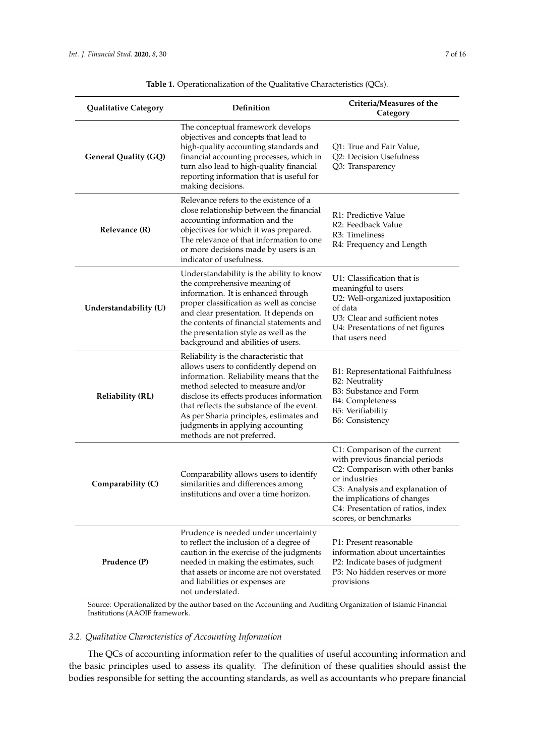| <b>Qualitative Category</b> | Definition                                                                                                                                                                                                                                                                                                                                                             | Criteria/Measures of the<br>Category                                                                                                                                                                                                                 |
|-----------------------------|------------------------------------------------------------------------------------------------------------------------------------------------------------------------------------------------------------------------------------------------------------------------------------------------------------------------------------------------------------------------|------------------------------------------------------------------------------------------------------------------------------------------------------------------------------------------------------------------------------------------------------|
| <b>General Quality (GQ)</b> | The conceptual framework develops<br>objectives and concepts that lead to<br>high-quality accounting standards and<br>financial accounting processes, which in<br>turn also lead to high-quality financial<br>reporting information that is useful for<br>making decisions.                                                                                            | Q1: True and Fair Value,<br>Q2: Decision Usefulness<br>Q3: Transparency                                                                                                                                                                              |
| Relevance (R)               | Relevance refers to the existence of a<br>close relationship between the financial<br>accounting information and the<br>objectives for which it was prepared.<br>The relevance of that information to one<br>or more decisions made by users is an<br>indicator of usefulness.                                                                                         | R1: Predictive Value<br>R2: Feedback Value<br>R3: Timeliness<br>R4: Frequency and Length                                                                                                                                                             |
| Understandability (U)       | Understandability is the ability to know<br>the comprehensive meaning of<br>information. It is enhanced through<br>proper classification as well as concise<br>and clear presentation. It depends on<br>the contents of financial statements and<br>the presentation style as well as the<br>background and abilities of users.                                        | U1: Classification that is<br>meaningful to users<br>U2: Well-organized juxtaposition<br>of data<br>U3: Clear and sufficient notes<br>U4: Presentations of net figures<br>that users need                                                            |
| <b>Reliability (RL)</b>     | Reliability is the characteristic that<br>allows users to confidently depend on<br>information. Reliability means that the<br>method selected to measure and/or<br>disclose its effects produces information<br>that reflects the substance of the event.<br>As per Sharia principles, estimates and<br>judgments in applying accounting<br>methods are not preferred. | B1: Representational Faithfulness<br><b>B2: Neutrality</b><br>B3: Substance and Form<br><b>B4</b> : Completeness<br>B5: Verifiability<br><b>B6: Consistency</b>                                                                                      |
| Comparability (C)           | Comparability allows users to identify<br>similarities and differences among<br>institutions and over a time horizon.                                                                                                                                                                                                                                                  | C1: Comparison of the current<br>with previous financial periods<br>C2: Comparison with other banks<br>or industries<br>C3: Analysis and explanation of<br>the implications of changes<br>C4: Presentation of ratios, index<br>scores, or benchmarks |
| Prudence (P)                | Prudence is needed under uncertainty<br>to reflect the inclusion of a degree of<br>caution in the exercise of the judgments<br>needed in making the estimates, such<br>that assets or income are not overstated<br>and liabilities or expenses are<br>not understated.                                                                                                 | P1: Present reasonable<br>information about uncertainties<br>P2: Indicate bases of judgment<br>P3: No hidden reserves or more<br>provisions                                                                                                          |

**Table 1.** Operationalization of the Qualitative Characteristics (QCs).

Source: Operationalized by the author based on the Accounting and Auditing Organization of Islamic Financial Institutions (AAOIF framework.

# *3.2. Qualitative Characteristics of Accounting Information*

The QCs of accounting information refer to the qualities of useful accounting information and the basic principles used to assess its quality. The definition of these qualities should assist the bodies responsible for setting the accounting standards, as well as accountants who prepare financial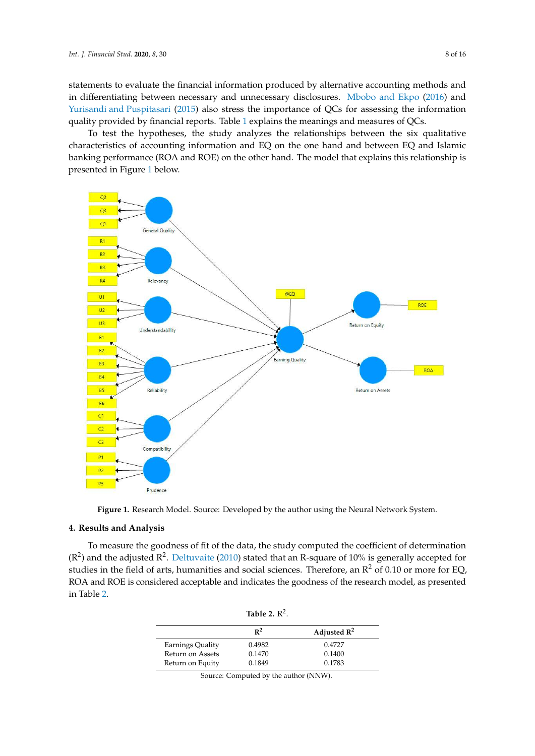statements to evaluate the financial information produced by alternative accounting methods and in differentiating between necessary and unnecessary disclosures. Mbobo and Ekpo (2016) and Yurisandi and Puspitasari (2015) also stress the importance of QCs for assessing the information quality provided by financial reports. Table 1 explains the meanings and measures of QCs.

To test the hypotheses, the study analyzes the relationships between the six qualitative characteristics of accounting information and EQ on the one hand and between EQ and Islamic banking performance (ROA and ROE) on the other hand. The model that explains this relationship is presented in Figure 1 below.



**Figure 1.** Research Model. Source: Developed by the author using the Neural Network System.

#### **4. Results and Analysis**

( $\mathbb{R}^2$ ) and the adjusted  $\mathbb{R}^2$ . Deltuvaite (2010) stated that an R-square of 10% is generally accepted for To measure the goodness of fit of the data, the study computed the coefficient of determination studies in the field of arts, humanities and social sciences. Therefore, an  $R^2$  of 0.10 or more for EQ, ROA and ROE is considered acceptable and indicates the goodness of the research model, as presented in Table 2.

| Table 2. $\mathbb{R}^2$ . |                |                         |  |  |  |
|---------------------------|----------------|-------------------------|--|--|--|
|                           | $\mathbb{R}^2$ | Adjusted $\mathbb{R}^2$ |  |  |  |
| Earnings Quality          | 0.4982         | 0.4727                  |  |  |  |
| Return on Assets          | 0.1470         | 0.1400                  |  |  |  |
| Return on Equity          | 0.1849         | 0.1783                  |  |  |  |

| Source: Computed by the author (NNW). |  |  |
|---------------------------------------|--|--|
|                                       |  |  |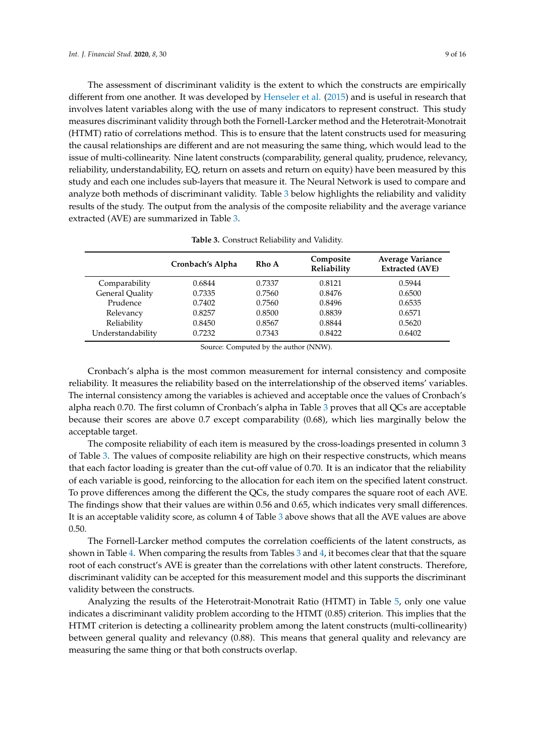The assessment of discriminant validity is the extent to which the constructs are empirically different from one another. It was developed by Henseler et al. (2015) and is useful in research that involves latent variables along with the use of many indicators to represent construct. This study measures discriminant validity through both the Fornell-Larcker method and the Heterotrait-Monotrait (HTMT) ratio of correlations method. This is to ensure that the latent constructs used for measuring the causal relationships are different and are not measuring the same thing, which would lead to the issue of multi-collinearity. Nine latent constructs (comparability, general quality, prudence, relevancy, reliability, understandability, EQ, return on assets and return on equity) have been measured by this study and each one includes sub-layers that measure it. The Neural Network is used to compare and analyze both methods of discriminant validity. Table 3 below highlights the reliability and validity results of the study. The output from the analysis of the composite reliability and the average variance extracted (AVE) are summarized in Table 3.

|                   | Cronbach's Alpha | Rho A  | Composite<br>Reliability | Average Variance<br><b>Extracted (AVE)</b> |
|-------------------|------------------|--------|--------------------------|--------------------------------------------|
| Comparability     | 0.6844           | 0.7337 | 0.8121                   | 0.5944                                     |
| General Quality   | 0.7335           | 0.7560 | 0.8476                   | 0.6500                                     |
| Prudence          | 0.7402           | 0.7560 | 0.8496                   | 0.6535                                     |
| Relevancy         | 0.8257           | 0.8500 | 0.8839                   | 0.6571                                     |
| Reliability       | 0.8450           | 0.8567 | 0.8844                   | 0.5620                                     |
| Understandability | 0.7232           | 0.7343 | 0.8422                   | 0.6402                                     |

**Table 3.** Construct Reliability and Validity.

Source: Computed by the author (NNW).

Cronbach's alpha is the most common measurement for internal consistency and composite reliability. It measures the reliability based on the interrelationship of the observed items' variables. The internal consistency among the variables is achieved and acceptable once the values of Cronbach's alpha reach 0.70. The first column of Cronbach's alpha in Table 3 proves that all QCs are acceptable because their scores are above 0.7 except comparability (0.68), which lies marginally below the acceptable target.

The composite reliability of each item is measured by the cross-loadings presented in column 3 of Table 3. The values of composite reliability are high on their respective constructs, which means that each factor loading is greater than the cut-off value of 0.70. It is an indicator that the reliability of each variable is good, reinforcing to the allocation for each item on the specified latent construct. To prove differences among the different the QCs, the study compares the square root of each AVE. The findings show that their values are within 0.56 and 0.65, which indicates very small differences. It is an acceptable validity score, as column 4 of Table 3 above shows that all the AVE values are above 0.50.

The Fornell-Larcker method computes the correlation coefficients of the latent constructs, as shown in Table 4. When comparing the results from Tables 3 and 4, it becomes clear that that the square root of each construct's AVE is greater than the correlations with other latent constructs. Therefore, discriminant validity can be accepted for this measurement model and this supports the discriminant validity between the constructs.

Analyzing the results of the Heterotrait-Monotrait Ratio (HTMT) in Table 5, only one value indicates a discriminant validity problem according to the HTMT (0.85) criterion. This implies that the HTMT criterion is detecting a collinearity problem among the latent constructs (multi-collinearity) between general quality and relevancy (0.88). This means that general quality and relevancy are measuring the same thing or that both constructs overlap.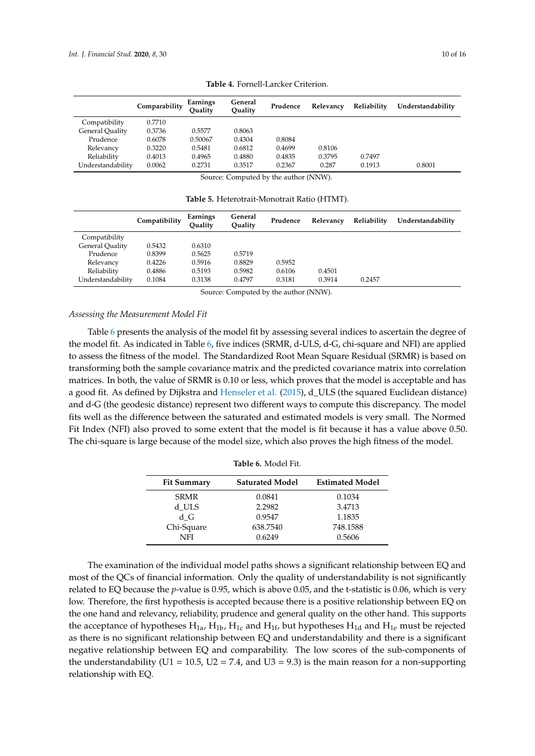|                        | Comparability | Earnings<br>Ouality | General<br>Ouality | Prudence | Relevancy | Reliability | Understandability |
|------------------------|---------------|---------------------|--------------------|----------|-----------|-------------|-------------------|
| Compatibility          | 0.7710        |                     |                    |          |           |             |                   |
| <b>General Quality</b> | 0.3736        | 0.5577              | 0.8063             |          |           |             |                   |
| Prudence               | 0.6078        | 0.50067             | 0.4304             | 0.8084   |           |             |                   |
| Relevancy              | 0.3220        | 0.5481              | 0.6812             | 0.4699   | 0.8106    |             |                   |
| Reliability            | 0.4013        | 0.4965              | 0.4880             | 0.4835   | 0.3795    | 0.7497      |                   |
| Understandability      | 0.0062        | 0.2731              | 0.3517             | 0.2367   | 0.287     | 0.1913      | 0.8001            |

**Table 4.** Fornell-Larcker Criterion.

Source: Computed by the author (NNW).

**Table 5.** Heterotrait-Monotrait Ratio (HTMT).

|                   | Compatibility | Earnings<br>Ouality | General<br>Ouality | Prudence | Relevancy | Reliability | Understandability |
|-------------------|---------------|---------------------|--------------------|----------|-----------|-------------|-------------------|
| Compatibility     |               |                     |                    |          |           |             |                   |
| General Quality   | 0.5432        | 0.6310              |                    |          |           |             |                   |
| Prudence          | 0.8399        | 0.5625              | 0.5719             |          |           |             |                   |
| Relevancy         | 0.4226        | 0.5916              | 0.8829             | 0.5952   |           |             |                   |
| Reliability       | 0.4886        | 0.5193              | 0.5982             | 0.6106   | 0.4501    |             |                   |
| Understandability | 0.1084        | 0.3138              | 0.4797             | 0.3181   | 0.3914    | 0.2457      |                   |

Source: Computed by the author (NNW).

#### *Assessing the Measurement Model Fit*

Table 6 presents the analysis of the model fit by assessing several indices to ascertain the degree of the model fit. As indicated in Table 6, five indices (SRMR, d-ULS, d-G, chi-square and NFI) are applied to assess the fitness of the model. The Standardized Root Mean Square Residual (SRMR) is based on transforming both the sample covariance matrix and the predicted covariance matrix into correlation matrices. In both, the value of SRMR is 0.10 or less, which proves that the model is acceptable and has a good fit. As defined by Dijkstra and Henseler et al. (2015), d\_ULS (the squared Euclidean distance) and d-G (the geodesic distance) represent two different ways to compute this discrepancy. The model fits well as the difference between the saturated and estimated models is very small. The Normed Fit Index (NFI) also proved to some extent that the model is fit because it has a value above 0.50. The chi-square is large because of the model size, which also proves the high fitness of the model.

| Table 6. Model Fit. |                        |                        |  |  |  |  |
|---------------------|------------------------|------------------------|--|--|--|--|
| <b>Fit Summary</b>  | <b>Saturated Model</b> | <b>Estimated Model</b> |  |  |  |  |
| <b>SRMR</b>         | 0.0841                 | 0.1034                 |  |  |  |  |
| d ULS               | 2.2982                 | 3.4713                 |  |  |  |  |
| d G                 | 0.9547                 | 1.1835                 |  |  |  |  |
| Chi-Square          | 638.7540               | 748.1588               |  |  |  |  |
| NFI                 | 0.6249                 | 0.5606                 |  |  |  |  |

The examination of the individual model paths shows a significant relationship between EQ and most of the QCs of financial information. Only the quality of understandability is not significantly related to EQ because the *p*-value is 0.95, which is above 0.05, and the t-statistic is 0.06, which is very low. Therefore, the first hypothesis is accepted because there is a positive relationship between EQ on the one hand and relevancy, reliability, prudence and general quality on the other hand. This supports the acceptance of hypotheses  $H_{1a}$ ,  $H_{1b}$ ,  $H_{1c}$  and  $H_{1f}$ , but hypotheses  $H_{1d}$  and  $H_{1e}$  must be rejected as there is no significant relationship between EQ and understandability and there is a significant negative relationship between EQ and comparability. The low scores of the sub-components of the understandability (U1 = 10.5, U2 = 7.4, and U3 = 9.3) is the main reason for a non-supporting relationship with EQ.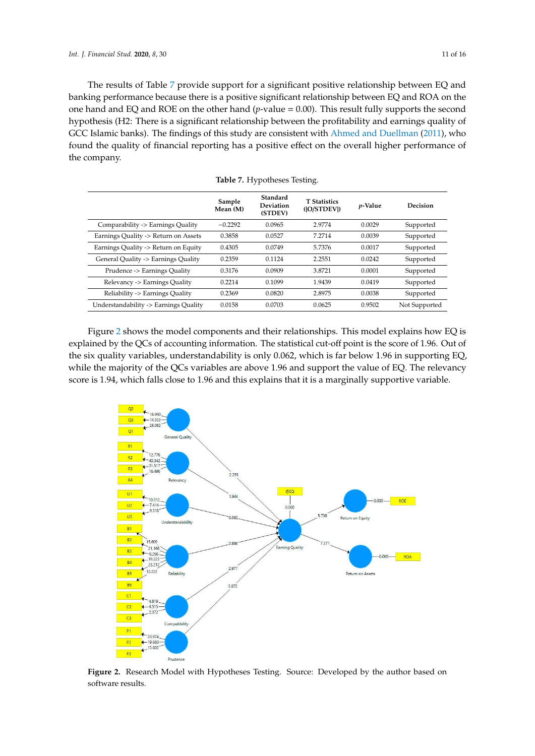The results of Table 7 provide support for a significant positive relationship between EQ and banking performance because there is a positive significant relationship between EQ and ROA on the one hand and EQ and ROE on the other hand (*p*-value = 0.00). This result fully supports the second hypothesis (H2: There is a significant relationship between the profitability and earnings quality of GCC Islamic banks). The findings of this study are consistent with Ahmed and Duellman (2011), who found the quality of financial reporting has a positive effect on the overall higher performance of the company.

|                                       | Sample<br>Mean (M) | Standard<br><b>Deviation</b><br>(STDEV) | <b>T</b> Statistics<br>( O/STDEV ) | <i>p</i> -Value | Decision      |
|---------------------------------------|--------------------|-----------------------------------------|------------------------------------|-----------------|---------------|
| Comparability -> Earnings Quality     | $-0.2292$          | 0.0965                                  | 2.9774                             | 0.0029          | Supported     |
| Earnings Quality -> Return on Assets  | 0.3858             | 0.0527                                  | 7.2714                             | 0.0039          | Supported     |
| Earnings Quality -> Return on Equity  | 0.4305             | 0.0749                                  | 5.7376                             | 0.0017          | Supported     |
| General Quality -> Earnings Quality   | 0.2359             | 0.1124                                  | 2.2551                             | 0.0242          | Supported     |
| Prudence -> Earnings Quality          | 0.3176             | 0.0909                                  | 3.8721                             | 0.0001          | Supported     |
| Relevancy -> Earnings Quality         | 0.2214             | 0.1099                                  | 1.9439                             | 0.0419          | Supported     |
| Reliability -> Earnings Quality       | 0.2369             | 0.0820                                  | 2.8975                             | 0.0038          | Supported     |
| Understandability -> Earnings Quality | 0.0158             | 0.0703                                  | 0.0625                             | 0.9502          | Not Supported |

**Table 7.** Hypotheses Testing.

Figure 2 shows the model components and their relationships. This model explains how EQ is explained by the QCs of accounting information. The statistical cut-off point is the score of 1.96. Out of the six quality variables, understandability is only 0.062, which is far below 1.96 in supporting EQ, while the majority of the QCs variables are above 1.96 and support the value of EQ. The relevancy score is 1.94, which falls close to 1.96 and this explains that it is a marginally supportive variable.



**Figure 2.** Research Model with Hypotheses Testing. Source: Developed by the author based on software results.

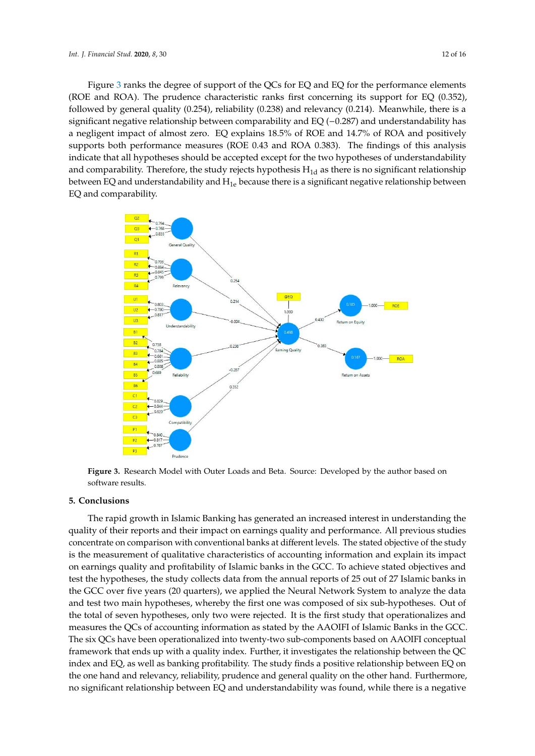

and comparability. Therefore, the study rejects hypothesis H<sub>1d</sub> as there is no significant relationship between EQ and understandability and  $H_{1e}$  because there is a significant negative relationship between EQ and comparability.



**Figure 3.** Research Model with Outer Loads and Beta. Source: Developed by the author based on software results.

## **5. Conclusions**

The rapid growth in Islamic Banking has generated an increased interest in understanding the quality of their reports and their impact on earnings quality and performance. All previous studies concentrate on comparison with conventional banks at different levels. The stated objective of the study is the measurement of qualitative characteristics of accounting information and explain its impact on earnings quality and profitability of Islamic banks in the GCC. To achieve stated objectives and test the hypotheses, the study collects data from the annual reports of 25 out of 27 Islamic banks in the GCC over five years (20 quarters), we applied the Neural Network System to analyze the data and test two main hypotheses, whereby the first one was composed of six sub-hypotheses. Out of the total of seven hypotheses, only two were rejected. It is the first study that operationalizes and measures the QCs of accounting information as stated by the AAOIFI of Islamic Banks in the GCC. The six QCs have been operationalized into twenty-two sub-components based on AAOIFI conceptual framework that ends up with a quality index. Further, it investigates the relationship between the QC index and EQ, as well as banking profitability. The study finds a positive relationship between EQ on the one hand and relevancy, reliability, prudence and general quality on the other hand. Furthermore, no significant relationship between EQ and understandability was found, while there is a negative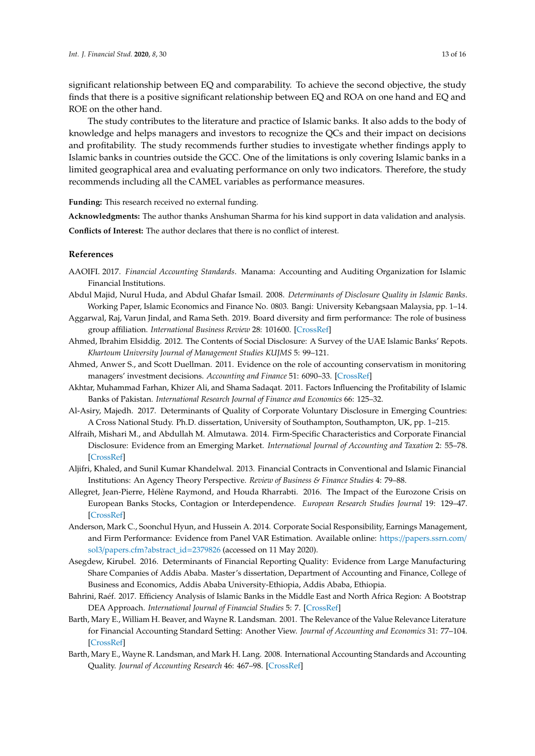significant relationship between EQ and comparability. To achieve the second objective, the study finds that there is a positive significant relationship between EQ and ROA on one hand and EQ and ROE on the other hand.

The study contributes to the literature and practice of Islamic banks. It also adds to the body of knowledge and helps managers and investors to recognize the QCs and their impact on decisions and profitability. The study recommends further studies to investigate whether findings apply to Islamic banks in countries outside the GCC. One of the limitations is only covering Islamic banks in a limited geographical area and evaluating performance on only two indicators. Therefore, the study recommends including all the CAMEL variables as performance measures.

**Funding:** This research received no external funding.

**Acknowledgments:** The author thanks Anshuman Sharma for his kind support in data validation and analysis. **Conflicts of Interest:** The author declares that there is no conflict of interest.

## **References**

- AAOIFI. 2017. *Financial Accounting Standards*. Manama: Accounting and Auditing Organization for Islamic Financial Institutions.
- Abdul Majid, Nurul Huda, and Abdul Ghafar Ismail. 2008. *Determinants of Disclosure Quality in Islamic Banks*. Working Paper, Islamic Economics and Finance No. 0803. Bangi: University Kebangsaan Malaysia, pp. 1–14.
- Aggarwal, Raj, Varun Jindal, and Rama Seth. 2019. Board diversity and firm performance: The role of business group affiliation. *International Business Review* 28: 101600. [CrossRef]
- Ahmed, Ibrahim Elsiddig. 2012. The Contents of Social Disclosure: A Survey of the UAE Islamic Banks' Repots. *Khartoum University Journal of Management Studies KUJMS* 5: 99–121.
- Ahmed, Anwer S., and Scott Duellman. 2011. Evidence on the role of accounting conservatism in monitoring managers' investment decisions. *Accounting and Finance* 51: 6090–33. [CrossRef]
- Akhtar, Muhammad Farhan, Khizer Ali, and Shama Sadaqat. 2011. Factors Influencing the Profitability of Islamic Banks of Pakistan. *International Research Journal of Finance and Economics* 66: 125–32.
- Al-Asiry, Majedh. 2017. Determinants of Quality of Corporate Voluntary Disclosure in Emerging Countries: A Cross National Study. Ph.D. dissertation, University of Southampton, Southampton, UK, pp. 1–215.
- Alfraih, Mishari M., and Abdullah M. Almutawa. 2014. Firm-Specific Characteristics and Corporate Financial Disclosure: Evidence from an Emerging Market. *International Journal of Accounting and Taxation* 2: 55–78. [CrossRef]
- Aljifri, Khaled, and Sunil Kumar Khandelwal. 2013. Financial Contracts in Conventional and Islamic Financial Institutions: An Agency Theory Perspective. *Review of Business & Finance Studies* 4: 79–88.
- Allegret, Jean-Pierre, Hélène Raymond, and Houda Rharrabti. 2016. The Impact of the Eurozone Crisis on European Banks Stocks, Contagion or Interdependence. *European Research Studies Journal* 19: 129–47. [CrossRef]
- Anderson, Mark C., Soonchul Hyun, and Hussein A. 2014. Corporate Social Responsibility, Earnings Management, and Firm Performance: Evidence from Panel VAR Estimation. Available online: https://papers.ssrn.com/ sol3/papers.cfm?abstract\_id=2379826 (accessed on 11 May 2020).
- Asegdew, Kirubel. 2016. Determinants of Financial Reporting Quality: Evidence from Large Manufacturing Share Companies of Addis Ababa. Master's dissertation, Department of Accounting and Finance, College of Business and Economics, Addis Ababa University-Ethiopia, Addis Ababa, Ethiopia.
- Bahrini, Raéf. 2017. Efficiency Analysis of Islamic Banks in the Middle East and North Africa Region: A Bootstrap DEA Approach. *International Journal of Financial Studies* 5: 7. [CrossRef]
- Barth, Mary E., William H. Beaver, and Wayne R. Landsman. 2001. The Relevance of the Value Relevance Literature for Financial Accounting Standard Setting: Another View. *Journal of Accounting and Economics* 31: 77–104. [CrossRef]
- Barth, Mary E., Wayne R. Landsman, and Mark H. Lang. 2008. International Accounting Standards and Accounting Quality. *Journal of Accounting Research* 46: 467–98. [CrossRef]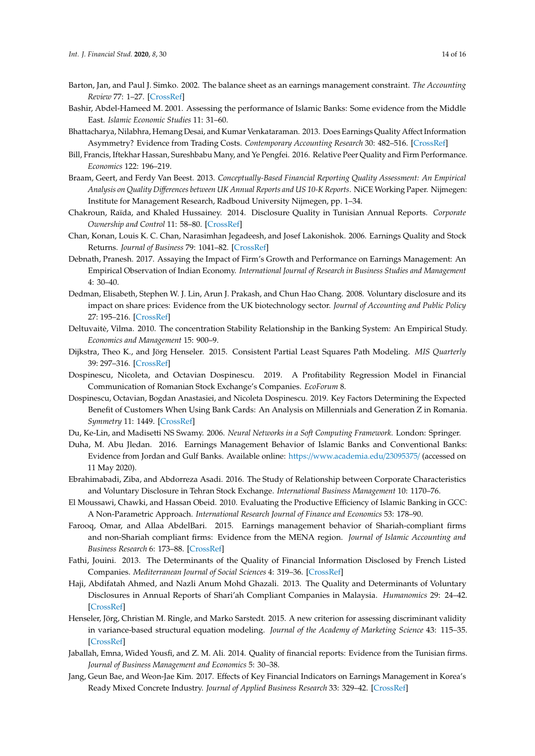- Barton, Jan, and Paul J. Simko. 2002. The balance sheet as an earnings management constraint. *The Accounting Review* 77: 1–27. [CrossRef]
- Bashir, Abdel-Hameed M. 2001. Assessing the performance of Islamic Banks: Some evidence from the Middle East. *Islamic Economic Studies* 11: 31–60.
- Bhattacharya, Nilabhra, Hemang Desai, and Kumar Venkataraman. 2013. Does Earnings Quality Affect Information Asymmetry? Evidence from Trading Costs. *Contemporary Accounting Research* 30: 482–516. [CrossRef]
- Bill, Francis, Iftekhar Hassan, Sureshbabu Many, and Ye Pengfei. 2016. Relative Peer Quality and Firm Performance. *Economics* 122: 196–219.
- Braam, Geert, and Ferdy Van Beest. 2013. *Conceptually-Based Financial Reporting Quality Assessment: An Empirical Analysis on Quality Di*ff*erences between UK Annual Reports and US 10-K Reports*. NiCE Working Paper. Nijmegen: Institute for Management Research, Radboud University Nijmegen, pp. 1–34.
- Chakroun, Raïda, and Khaled Hussainey. 2014. Disclosure Quality in Tunisian Annual Reports. *Corporate Ownership and Control* 11: 58–80. [CrossRef]
- Chan, Konan, Louis K. C. Chan, Narasimhan Jegadeesh, and Josef Lakonishok. 2006. Earnings Quality and Stock Returns. *Journal of Business* 79: 1041–82. [CrossRef]
- Debnath, Pranesh. 2017. Assaying the Impact of Firm's Growth and Performance on Earnings Management: An Empirical Observation of Indian Economy. *International Journal of Research in Business Studies and Management*  $4.30 - 40$
- Dedman, Elisabeth, Stephen W. J. Lin, Arun J. Prakash, and Chun Hao Chang. 2008. Voluntary disclosure and its impact on share prices: Evidence from the UK biotechnology sector. *Journal of Accounting and Public Policy* 27: 195–216. [CrossRef]
- Deltuvaitė, Vilma. 2010. The concentration Stability Relationship in the Banking System: An Empirical Study. *Economics and Management* 15: 900–9.
- Dijkstra, Theo K., and Jörg Henseler. 2015. Consistent Partial Least Squares Path Modeling. *MIS Quarterly* 39: 297–316. [CrossRef]
- Dospinescu, Nicoleta, and Octavian Dospinescu. 2019. A Profitability Regression Model in Financial Communication of Romanian Stock Exchange's Companies. *EcoForum* 8.
- Dospinescu, Octavian, Bogdan Anastasiei, and Nicoleta Dospinescu. 2019. Key Factors Determining the Expected Benefit of Customers When Using Bank Cards: An Analysis on Millennials and Generation Z in Romania. *Symmetry* 11: 1449. [CrossRef]
- Du, Ke-Lin, and Madisetti NS Swamy. 2006. *Neural Networks in a Soft Computing Framework*. London: Springer.
- Duha, M. Abu Jledan. 2016. Earnings Management Behavior of Islamic Banks and Conventional Banks: Evidence from Jordan and Gulf Banks. Available online: https://www.academia.edu/23095375/ (accessed on 11 May 2020).
- Ebrahimabadi, Ziba, and Abdorreza Asadi. 2016. The Study of Relationship between Corporate Characteristics and Voluntary Disclosure in Tehran Stock Exchange. *International Business Management* 10: 1170–76.
- El Moussawi, Chawki, and Hassan Obeid. 2010. Evaluating the Productive Efficiency of Islamic Banking in GCC: A Non-Parametric Approach. *International Research Journal of Finance and Economics* 53: 178–90.
- Farooq, Omar, and Allaa AbdelBari. 2015. Earnings management behavior of Shariah-compliant firms and non-Shariah compliant firms: Evidence from the MENA region. *Journal of Islamic Accounting and Business Research* 6: 173–88. [CrossRef]
- Fathi, Jouini. 2013. The Determinants of the Quality of Financial Information Disclosed by French Listed Companies. *Mediterranean Journal of Social Sciences* 4: 319–36. [CrossRef]
- Haji, Abdifatah Ahmed, and Nazli Anum Mohd Ghazali. 2013. The Quality and Determinants of Voluntary Disclosures in Annual Reports of Shari'ah Compliant Companies in Malaysia. *Humanomics* 29: 24–42. [CrossRef]
- Henseler, Jörg, Christian M. Ringle, and Marko Sarstedt. 2015. A new criterion for assessing discriminant validity in variance-based structural equation modeling. *Journal of the Academy of Marketing Science* 43: 115–35. [CrossRef]
- Jaballah, Emna, Wided Yousfi, and Z. M. Ali. 2014. Quality of financial reports: Evidence from the Tunisian firms. *Journal of Business Management and Economics* 5: 30–38.
- Jang, Geun Bae, and Weon-Jae Kim. 2017. Effects of Key Financial Indicators on Earnings Management in Korea's Ready Mixed Concrete Industry. *Journal of Applied Business Research* 33: 329–42. [CrossRef]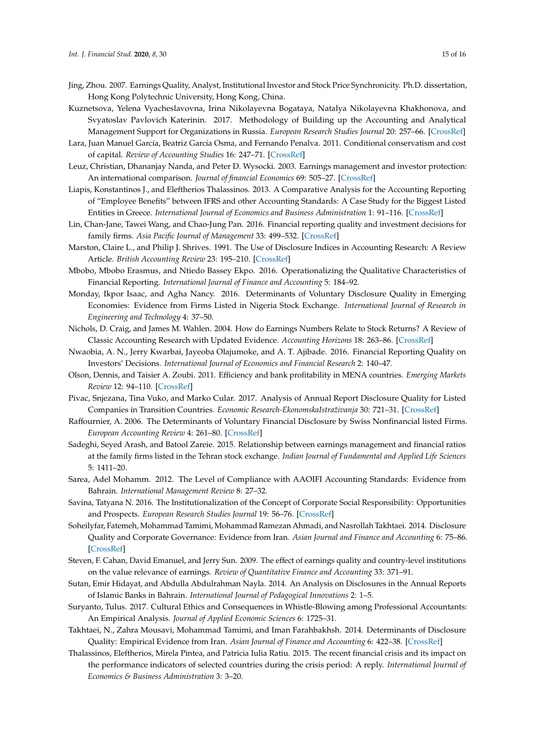- Jing, Zhou. 2007. Earnings Quality, Analyst, Institutional Investor and Stock Price Synchronicity. Ph.D. dissertation, Hong Kong Polytechnic University, Hong Kong, China.
- Kuznetsova, Yelena Vyacheslavovna, Irina Nikolayevna Bogataya, Natalya Nikolayevna Khakhonova, and Svyatoslav Pavlovich Katerinin. 2017. Methodology of Building up the Accounting and Analytical Management Support for Organizations in Russia. *European Research Studies Journal* 20: 257–66. [CrossRef]
- Lara, Juan Manuel García, Beatriz García Osma, and Fernando Penalva. 2011. Conditional conservatism and cost of capital. *Review of Accounting Studies* 16: 247–71. [CrossRef]
- Leuz, Christian, Dhananjay Nanda, and Peter D. Wysocki. 2003. Earnings management and investor protection: An international comparison. *Journal of financial Economics* 69: 505–27. [CrossRef]
- Liapis, Konstantinos J., and Eleftherios Thalassinos. 2013. A Comparative Analysis for the Accounting Reporting of "Employee Benefits" between IFRS and other Accounting Standards: A Case Study for the Biggest Listed Entities in Greece. *International Journal of Economics and Business Administration* 1: 91–116. [CrossRef]
- Lin, Chan-Jane, Tawei Wang, and Chao-Jung Pan. 2016. Financial reporting quality and investment decisions for family firms. *Asia Pacific Journal of Management* 33: 499–532. [CrossRef]
- Marston, Claire L., and Philip J. Shrives. 1991. The Use of Disclosure Indices in Accounting Research: A Review Article. *British Accounting Review* 23: 195–210. [CrossRef]
- Mbobo, Mbobo Erasmus, and Ntiedo Bassey Ekpo. 2016. Operationalizing the Qualitative Characteristics of Financial Reporting. *International Journal of Finance and Accounting* 5: 184–92.
- Monday, Ikpor Isaac, and Agha Nancy. 2016. Determinants of Voluntary Disclosure Quality in Emerging Economies: Evidence from Firms Listed in Nigeria Stock Exchange. *International Journal of Research in Engineering and Technology* 4: 37–50.
- Nichols, D. Craig, and James M. Wahlen. 2004. How do Earnings Numbers Relate to Stock Returns? A Review of Classic Accounting Research with Updated Evidence. *Accounting Horizons* 18: 263–86. [CrossRef]
- Nwaobia, A. N., Jerry Kwarbai, Jayeoba Olajumoke, and A. T. Ajibade. 2016. Financial Reporting Quality on Investors' Decisions. *International Journal of Economics and Financial Research* 2: 140–47.
- Olson, Dennis, and Taisier A. Zoubi. 2011. Efficiency and bank profitability in MENA countries. *Emerging Markets Review* 12: 94–110. [CrossRef]
- Pivac, Snjezana, Tina Vuko, and Marko Cular. 2017. Analysis of Annual Report Disclosure Quality for Listed Companies in Transition Countries. *Economic Research-EkonomskaIstraživanja* 30: 721–31. [CrossRef]
- Raffournier, A. 2006. The Determinants of Voluntary Financial Disclosure by Swiss Nonfinancial listed Firms. *European Accounting Review* 4: 261–80. [CrossRef]
- Sadeghi, Seyed Arash, and Batool Zareie. 2015. Relationship between earnings management and financial ratios at the family firms listed in the Tehran stock exchange. *Indian Journal of Fundamental and Applied Life Sciences* 5: 1411–20.
- Sarea, Adel Mohamm. 2012. The Level of Compliance with AAOIFI Accounting Standards: Evidence from Bahrain. *International Management Review* 8: 27–32.
- Savina, Tatyana N. 2016. The Institutionalization of the Concept of Corporate Social Responsibility: Opportunities and Prospects. *European Research Studies Journal* 19: 56–76. [CrossRef]
- Soheilyfar, Fatemeh, Mohammad Tamimi, Mohammad Ramezan Ahmadi, and Nasrollah Takhtaei. 2014. Disclosure Quality and Corporate Governance: Evidence from Iran. *Asian Journal and Finance and Accounting* 6: 75–86. [CrossRef]
- Steven, F. Cahan, David Emanuel, and Jerry Sun. 2009. The effect of earnings quality and country-level institutions on the value relevance of earnings. *Review of Quantitative Finance and Accounting* 33: 371–91.
- Sutan, Emir Hidayat, and Abdulla Abdulrahman Nayla. 2014. An Analysis on Disclosures in the Annual Reports of Islamic Banks in Bahrain. *International Journal of Pedagogical Innovations* 2: 1–5.
- Suryanto, Tulus. 2017. Cultural Ethics and Consequences in Whistle-Blowing among Professional Accountants: An Empirical Analysis. *Journal of Applied Economic Sciences* 6: 1725–31.
- Takhtaei, N., Zahra Mousavi, Mohammad Tamimi, and Iman Farahbakhsh. 2014. Determinants of Disclosure Quality: Empirical Evidence from Iran. *Asian Journal of Finance and Accounting* 6: 422–38. [CrossRef]
- Thalassinos, Eleftherios, Mirela Pintea, and Patricia Iulia Ratiu. 2015. The recent financial crisis and its impact on the performance indicators of selected countries during the crisis period: A reply. *International Journal of Economics & Business Administration* 3: 3–20.